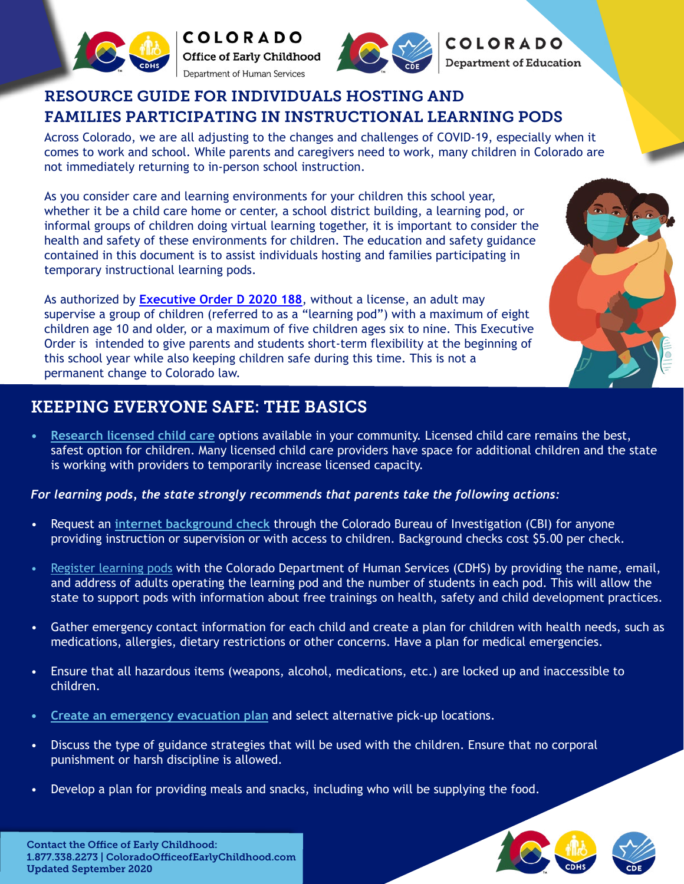

**COLORADO Office of Early Childhood** Department of Human Services



**COLORADO** 

**Department of Education** 

## RESOURCE GUIDE FOR INDIVIDUALS HOSTING AND FAMILIES PARTICIPATING IN INSTRUCTIONAL LEARNING PODS

Across Colorado, we are all adjusting to the changes and challenges of COVID-19, especially when it comes to work and school. While parents and caregivers need to work, many children in Colorado are not immediately returning to in-person school instruction.

As you consider care and learning environments for your children this school year, whether it be a child care home or center, a school district building, a learning pod, or informal groups of children doing virtual learning together, it is important to consider the health and safety of these environments for children. The education and safety guidance contained in this document is to assist individuals hosting and families participating in temporary instructional learning pods.

As authorized by **[Executive Order D 2020 188](https://drive.google.com/file/d/1909Iapz9bN7o3EOwCEXVlEPbYgp4n0U4/view)**, without a license, an adult may supervise a group of children (referred to as a "learning pod") with a maximum of eight children age 10 and older, or a maximum of five children ages six to nine. This Executive Order is intended to give parents and students short-term flexibility at the beginning of this school year while also keeping children safe during this time. This is not a permanent change to Colorado law.



# KEEPING EVERYONE SAFE: THE BASICS

**• [Research licensed child care](http://ColoradoShines.com/search)** options available in your community. Licensed child care remains the best, safest option for children. Many licensed child care providers have space for additional children and the state is working with providers to temporarily increase licensed capacity.

#### *For learning pods, the state strongly recommends that parents take the following actions:*

- Request an **[internet background check](https://www.cbirecordscheck.com/)** through the Colorado Bureau of Investigation (CBI) for anyone providing instruction or supervision or with access to children. Background checks cost \$5.00 per check.
- [Register learning pods](https://docs.google.com/forms/d/e/1FAIpQLScTRVi8DB2_QR6VagaCA_aeeBXh-FSy5_tgG9TX42wxNE9Lqw/viewform?usp=sf_link) with the Colorado Department of Human Services (CDHS) by providing the name, email, and address of adults operating the learning pod and the number of students in each pod. This will allow the state to support pods with information about free trainings on health, safety and child development practices.
- Gather emergency contact information for each child and create a plan for children with health needs, such as medications, allergies, dietary restrictions or other concerns. Have a plan for medical emergencies.
- Ensure that all hazardous items (weapons, alcohol, medications, etc.) are locked up and inaccessible to children.
- **• [Create an emergency evacuation plan](https://training.fema.gov/is/courseoverview.aspx?code=IS-36)** and select alternative pick-up locations.
- Discuss the type of guidance strategies that will be used with the children. Ensure that no corporal punishment or harsh discipline is allowed.
- Develop a plan for providing meals and snacks, including who will be supplying the food.

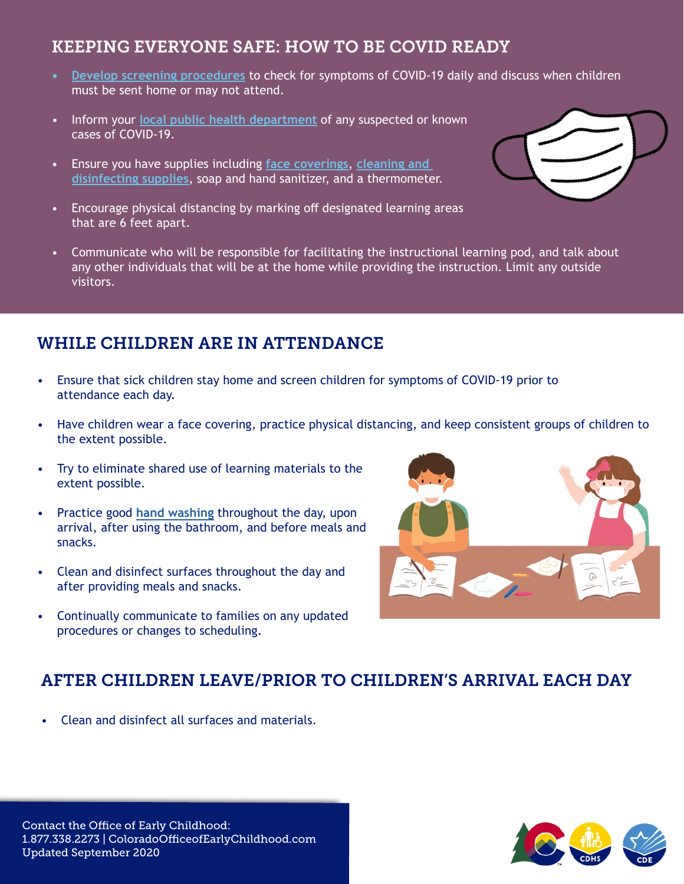# KEEPING EVERYONE SAFE: HOW TO BE COVID READY

- **• [Develop screening procedures](https://covid19.colorado.gov/symptom-screening)** to check for symptoms of COVID-19 daily and discuss when children must be sent home or may not attend.
- Inform your **[local public health department](https://www.colorado.gov/pacific/cdphe/find-your-local-public-health-agency)** of any suspected or known cases of COVID-19.
- Ensure you have supplies including **[face coverings](https://covid19.colorado.gov/mask-guidance#MasksAtSchoolFAQ)**, **[cleaning and](https://www.epa.gov/pesticide-registration/list-n-disinfectants-use-against-sars-cov-2-covid-19) [disinfecting supplies](https://www.epa.gov/pesticide-registration/list-n-disinfectants-use-against-sars-cov-2-covid-19)**, soap and hand sanitizer, and a thermometer.
- Encourage physical distancing by marking off designated learning areas that are 6 feet apart.
- Communicate who will be responsible for facilitating the instructional learning pod, and talk about any other individuals that will be at the home while providing the instruction. Limit any outside visitors.

## WHILE CHILDREN ARE IN ATTENDANCE

- Ensure that sick children stay home and screen children for symptoms of COVID-19 prior to attendance each day.
- Have children wear a face covering, practice physical distancing, and keep consistent groups of children to the extent possible.
- Try to eliminate shared use of learning materials to the extent possible.
- Practice good **[hand washing](https://www.cdc.gov/handwashing/when-how-handwashing.html)** throughout the day, upon arrival, after using the bathroom, and before meals and snacks.
- Clean and disinfect surfaces throughout the day and after providing meals and snacks.
- Continually communicate to families on any updated procedures or changes to scheduling.



## AFTER CHILDREN LEAVE/PRIOR TO CHILDREN'S ARRIVAL EACH DAY

• Clean and disinfect all surfaces and materials.

Contact the Office of Early Childhood: 1.877.338.2273 | [ColoradoOfficeofEarlyChildhood.com](http://coloradoofficeofearlychildhood.force.com/oec?lang=en) Updated September 2020



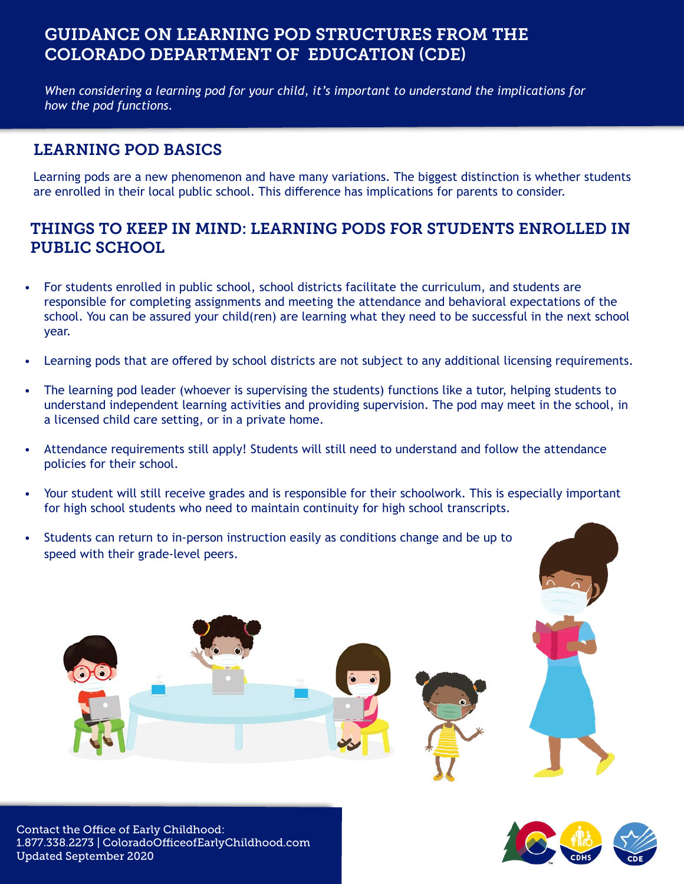# GUIDANCE ON LEARNING POD STRUCTURES FROM THE COLORADO DEPARTMENT OF EDUCATION (CDE)

*When considering a learning pod for your child, it's important to understand the implications for how the pod functions.* 

#### LEARNING POD BASICS

Learning pods are a new phenomenon and have many variations. The biggest distinction is whether students are enrolled in their local public school. This difference has implications for parents to consider.

### THINGS TO KEEP IN MIND: LEARNING PODS FOR STUDENTS ENROLLED IN PUBLIC SCHOOL

- For students enrolled in public school, school districts facilitate the curriculum, and students are responsible for completing assignments and meeting the attendance and behavioral expectations of the school. You can be assured your child(ren) are learning what they need to be successful in the next school year.
- Learning pods that are offered by school districts are not subject to any additional licensing requirements.
- The learning pod leader (whoever is supervising the students) functions like a tutor, helping students to understand independent learning activities and providing supervision. The pod may meet in the school, in a licensed child care setting, or in a private home.
- Attendance requirements still apply! Students will still need to understand and follow the attendance policies for their school.
- Your student will still receive grades and is responsible for their schoolwork. This is especially important for high school students who need to maintain continuity for high school transcripts.
- Students can return to in-person instruction easily as conditions change and be up to speed with their grade-level peers.